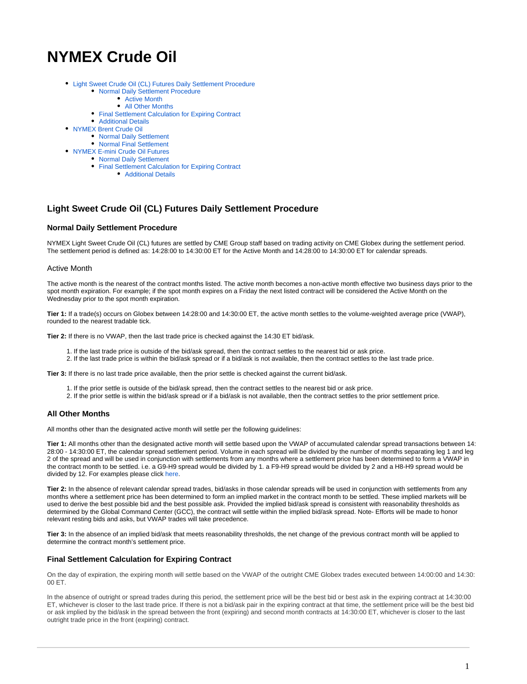# **NYMEX Crude Oil**

- [Light Sweet Crude Oil \(CL\) Futures Daily Settlement Procedure](#page-0-0) [Normal Daily Settlement Procedure](#page-0-1)
	- [Active Month](#page-0-2)
		- [All Other Months](#page-0-3)
	- [Final Settlement Calculation for Expiring Contract](#page-0-4)
	- [Additional Details](#page-1-0)
- [NYMEX Brent Crude Oil](#page-1-1)
	- [Normal Daily Settlement](#page-1-2)
	- [Normal Final Settlement](#page-1-3)
- [NYMEX E-mini Crude Oil Futures](#page-1-4)
	- [Normal Daily Settlement](#page-1-5)
		- [Final Settlement Calculation for Expiring Contract](#page-1-6)
			- [Additional Details](#page-1-7)

# <span id="page-0-0"></span>**Light Sweet Crude Oil (CL) Futures Daily Settlement Procedure**

## <span id="page-0-1"></span>**Normal Daily Settlement Procedure**

NYMEX Light Sweet Crude Oil (CL) futures are settled by CME Group staff based on trading activity on CME Globex during the settlement period. The settlement period is defined as: 14:28:00 to 14:30:00 ET for the Active Month and 14:28:00 to 14:30:00 ET for calendar spreads.

## <span id="page-0-2"></span>Active Month

The active month is the nearest of the contract months listed. The active month becomes a non-active month effective two business days prior to the spot month expiration. For example; if the spot month expires on a Friday the next listed contract will be considered the Active Month on the Wednesday prior to the spot month expiration.

**Tier 1:** If a trade(s) occurs on Globex between 14:28:00 and 14:30:00 ET, the active month settles to the volume-weighted average price (VWAP), rounded to the nearest tradable tick.

**Tier 2:** If there is no VWAP, then the last trade price is checked against the 14:30 ET bid/ask.

- 1. If the last trade price is outside of the bid/ask spread, then the contract settles to the nearest bid or ask price.
- 2. If the last trade price is within the bid/ask spread or if a bid/ask is not available, then the contract settles to the last trade price.

**Tier 3:** If there is no last trade price available, then the prior settle is checked against the current bid/ask.

- 1. If the prior settle is outside of the bid/ask spread, then the contract settles to the nearest bid or ask price.
- 2. If the prior settle is within the bid/ask spread or if a bid/ask is not available, then the contract settles to the prior settlement price.

# <span id="page-0-3"></span>**All Other Months**

All months other than the designated active month will settle per the following guidelines:

**Tier 1:** All months other than the designated active month will settle based upon the VWAP of accumulated calendar spread transactions between 14: 28:00 - 14:30:00 ET, the calendar spread settlement period. Volume in each spread will be divided by the number of months separating leg 1 and leg 2 of the spread and will be used in conjunction with settlements from any months where a settlement price has been determined to form a VWAP in the contract month to be settled. i.e. a G9-H9 spread would be divided by 1. a F9-H9 spread would be divided by 2 and a H8-H9 spread would be divided by 12. For examples please click [here](https://www.cmegroup.com/confluence/display/EPICSANDBOX/CL+HO+and+RBOB+Settlement+Examples).

**Tier 2:** In the absence of relevant calendar spread trades, bid/asks in those calendar spreads will be used in conjunction with settlements from any months where a settlement price has been determined to form an implied market in the contract month to be settled. These implied markets will be used to derive the best possible bid and the best possible ask. Provided the implied bid/ask spread is consistent with reasonability thresholds as determined by the Global Command Center (GCC), the contract will settle within the implied bid/ask spread. Note- Efforts will be made to honor relevant resting bids and asks, but VWAP trades will take precedence.

**Tier 3:** In the absence of an implied bid/ask that meets reasonability thresholds, the net change of the previous contract month will be applied to determine the contract month's settlement price.

# <span id="page-0-4"></span>**Final Settlement Calculation for Expiring Contract**

On the day of expiration, the expiring month will settle based on the VWAP of the outright CME Globex trades executed between 14:00:00 and 14:30: 00 ET.

In the absence of outright or spread trades during this period, the settlement price will be the best bid or best ask in the expiring contract at 14:30:00 ET, whichever is closer to the last trade price. If there is not a bid/ask pair in the expiring contract at that time, the settlement price will be the best bid or ask implied by the bid/ask in the spread between the front (expiring) and second month contracts at 14:30:00 ET, whichever is closer to the last outright trade price in the front (expiring) contract.